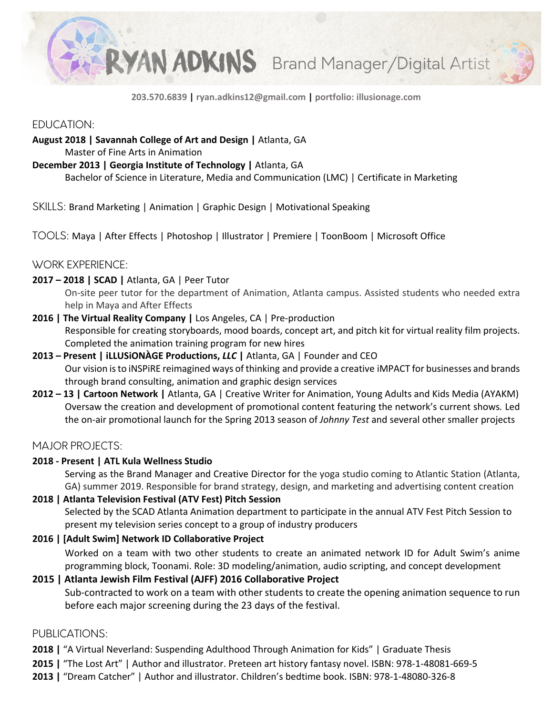

**203.570.6839 | ryan.adkins12@gmail.com | portfolio: illusionage.com**

## EDUCATION:

## **August 2018 | Savannah College of Art and Design |** Atlanta, GA

Master of Fine Arts in Animation

#### **December 2013 | Georgia Institute of Technology |** Atlanta, GA

Bachelor of Science in Literature, Media and Communication (LMC) | Certificate in Marketing

SKILLS: Brand Marketing | Animation | Graphic Design | Motivational Speaking

TOOLS: Maya | After Effects | Photoshop | Illustrator | Premiere | ToonBoom | Microsoft Office

# WORK EXPERIENCE:

#### **2017 – 2018 | SCAD |** Atlanta, GA | Peer Tutor

On-site peer tutor for the department of Animation, Atlanta campus. Assisted students who needed extra help in Maya and After Effects

- **2016 | The Virtual Reality Company |** Los Angeles, CA | Pre-production Responsible for creating storyboards, mood boards, concept art, and pitch kit for virtual reality film projects. Completed the animation training program for new hires
- **2013 – Present | iLLUSiONÀGE Productions,** *LLC* **|** Atlanta, GA | Founder and CEO Our vision isto iNSPiRE reimagined ways of thinking and provide a creative iMPACT for businesses and brands through brand consulting, animation and graphic design services
- **2012 – 13 | Cartoon Network |** Atlanta, GA | Creative Writer for Animation, Young Adults and Kids Media (AYAKM) Oversaw the creation and development of promotional content featuring the network's current shows*.* Led the on-air promotional launch for the Spring 2013 season of *Johnny Test* and several other smaller projects

## MAJOR PROJECTS:

## **2018 - Present | ATL Kula Wellness Studio**

Serving as the Brand Manager and Creative Director for the yoga studio coming to Atlantic Station (Atlanta, GA) summer 2019. Responsible for brand strategy, design, and marketing and advertising content creation

## **2018 | Atlanta Television Festival (ATV Fest) Pitch Session**

Selected by the SCAD Atlanta Animation department to participate in the annual ATV Fest Pitch Session to present my television series concept to a group of industry producers

## **2016 | [Adult Swim] Network ID Collaborative Project**

Worked on a team with two other students to create an animated network ID for Adult Swim's anime programming block, Toonami. Role: 3D modeling/animation, audio scripting, and concept development

## **2015 | Atlanta Jewish Film Festival (AJFF) 2016 Collaborative Project**

Sub-contracted to work on a team with other students to create the opening animation sequence to run before each major screening during the 23 days of the festival.

## PUBLICATIONS:

**2018 |** "A Virtual Neverland: Suspending Adulthood Through Animation for Kids" | Graduate Thesis

- **2015 |** "The Lost Art" | Author and illustrator. Preteen art history fantasy novel. ISBN: 978-1-48081-669-5
- **2013 |** "Dream Catcher" | Author and illustrator. Children's bedtime book. ISBN: 978-1-48080-326-8